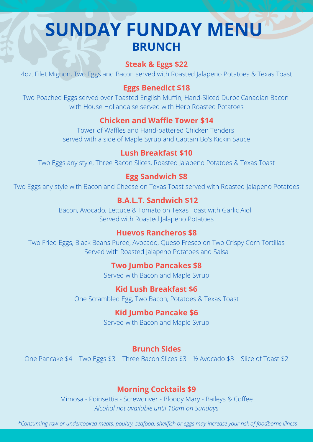# **SUNDAY FUNDAY MENU BRUNCH**

### **Steak & Eggs \$22**

4oz. Filet Mignon, Two Eggs and Bacon served with Roasted Jalapeno Potatoes & Texas Toast

### **Eggs Benedict \$18**

Two Poached Eggs served over Toasted English Muffin, Hand-Sliced Duroc Canadian Bacon with House Hollandaise served with Herb Roasted Potatoes

### **Chicken and Waffle Tower \$14**

Tower of Waffles and Hand-battered Chicken Tenders served with a side of Maple Syrup and Captain Bo's Kickin Sauce

### **Lush Breakfast \$10**

Two Eggs any style, Three Bacon Slices, Roasted Jalapeno Potatoes & Texas Toast

### **Egg Sandwich \$8**

Two Eggs any style with Bacon and Cheese on Texas Toast served with Roasted Jalapeno Potatoes

### **B.A.L.T. Sandwich \$12**

Bacon, Avocado, Lettuce & Tomato on Texas Toast with Garlic Aioli Served with Roasted Jalapeno Potatoes

### **Huevos Rancheros \$8**

Two Fried Eggs, Black Beans Puree, Avocado, Queso Fresco on Two Crispy Corn Tortillas Served with Roasted Jalapeno Potatoes and Salsa

### **Two Jumbo Pancakes \$8**

Served with Bacon and Maple Syrup

### **Kid Lush Breakfast \$6**

One Scrambled Egg, Two Bacon, Potatoes & Texas Toast

### **Kid Jumbo Pancake \$6**

Served with Bacon and Maple Syrup

### **Brunch Sides**

One Pancake \$4 Two Eggs \$3 Three Bacon Slices \$3 % Avocado \$3 Slice of Toast \$2

### **Morning Cocktails \$9**

Mimosa - Poinsettia - Screwdriver - Bloody Mary - Baileys & Coffee *Alcohol not available until 10am on Sundays*

\*Consuming raw or undercooked meats, poultry, seafood, shellfish or eggs may increase your risk of foodborne illness